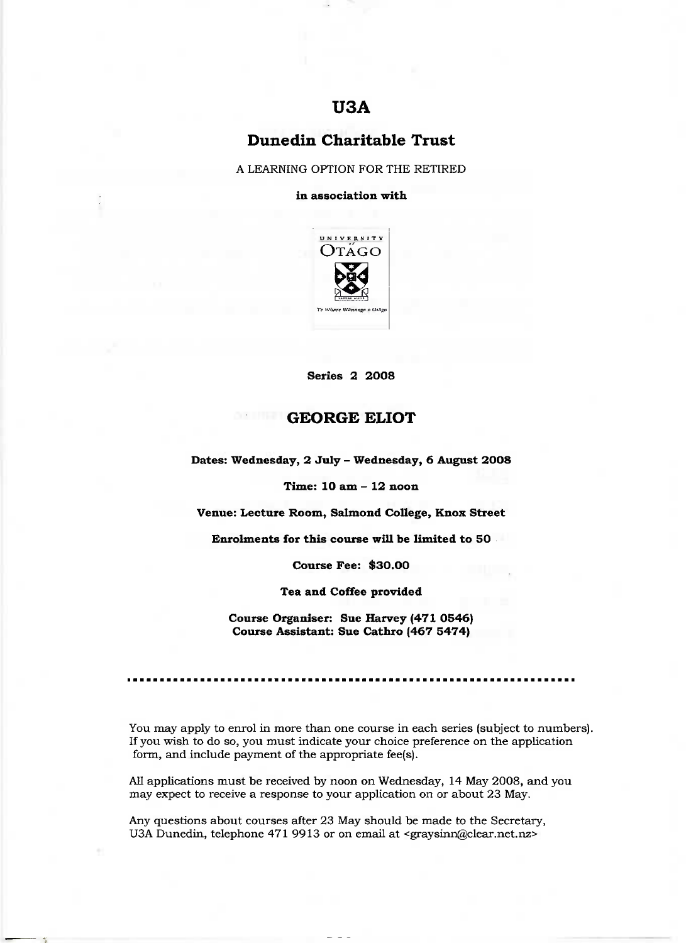# **USA**

# **Dunedin Charitable Trust**

A LEARNING OPTION FOR THE RETIRED

**in association with**



**Series 2 2008**

## **GEORGE ELIOT**

**Dates: Wednesday, 2 July - Wednesday, 6 August 2O08**

**Time: 10 am - 12 noon**

**Venue: Lecture Room, Salmond College, Knox Street**

**Enrolments for this course will be limited to 50**

**Course Fee: \$30.00**

**Tea and Coffee provided**

**Course Organiser: Sue Harvey (471 0546) Course Assistant: Sue Cathro (467 5474)**

You may apply to enrol in more than one course in each series (subject to numbers). If you wish to do so, you must indicate your choice preference on the application form, and include payment of the appropriate fee(s).

All applications must be received by noon on Wednesday, 14 May 2008, and you may expect to receive a response to your application on or about 23 May.

Any questions about courses after 23 May should be made to the Secretary, U3A Dunedin, telephone 471 9913 or on email at <graysinn@clear.net.nz>